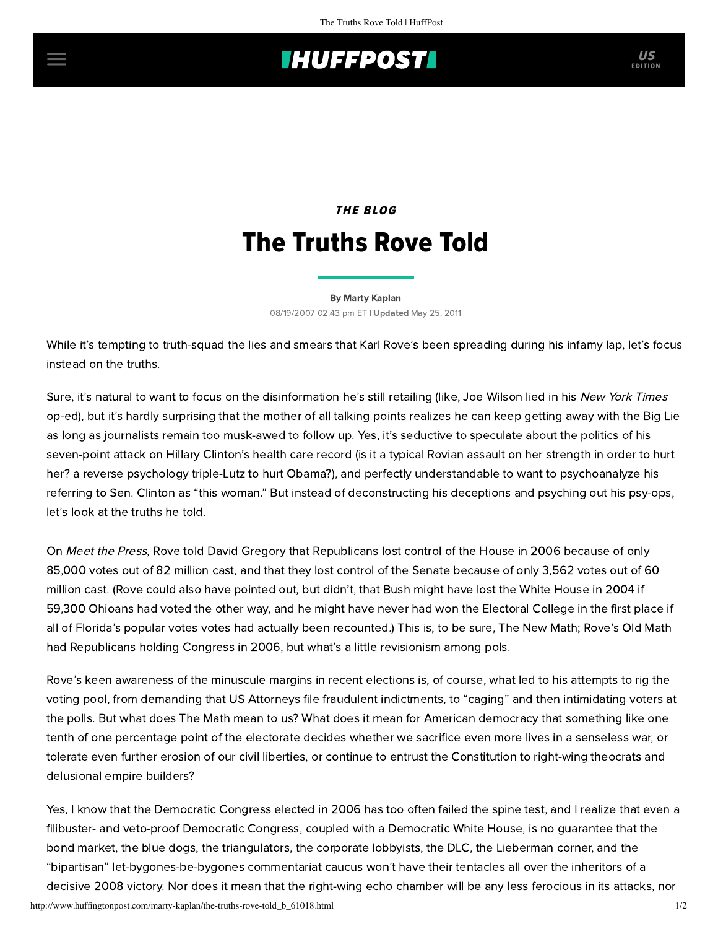## **THUFFPOST**

## THE BLOG The Truths Rove Told

[By Marty Kaplan](http://www.huffingtonpost.com/author/marty-kaplan) 08/19/2007 02:43 pm ET | Updated May 25, 2011

While it's tempting to truth-squad the lies and smears that Karl Rove's been spreading during his infamy lap, let's focus instead on the truths.

Sure, it's natural to want to focus on the disinformation he's still retailing (like, Joe Wilson lied in his New York Times op-ed), but it's hardly surprising that the mother of all talking points realizes he can keep getting away with the Big Lie as long as journalists remain too musk-awed to follow up. Yes, it's seductive to speculate about the politics of his seven-point attack on Hillary Clinton's health care record (is it a typical Rovian assault on her strength in order to hurt her? a [reverse psychology](http://www.latimes.com/news/politics/la-na-rove19aug19,1,4021917.story?coll=la-politics-campaign) triple-Lutz to hurt Obama?), and perfectly understandable to want to psychoanalyze his referring to Sen. Clinton as "this woman." But instead of deconstructing his deceptions and psyching out his psy-ops, let's look at the truths he told.

On Meet the Press, Rove told David Gregory that Republicans lost control of the House in 2006 because of only 85,000 votes out of 82 million cast, and that they lost control of the Senate because of only 3,562 votes out of 60 million cast. (Rove could also have pointed out, but didn't, that Bush might have lost the White House in 2004 if 59,300 Ohioans had voted the other way, and he might have never had won the Electoral College in the first place if all of Florida's popular votes votes had actually been recounted.) This is, to be sure, The New Math; Rove's Old Math had Republicans holding Congress in 2006, but what's a little revisionism among pols.

Rove's keen awareness of the minuscule margins in recent elections is, of course, what led to his attempts to rig the voting pool, from demanding that US Attorneys file fraudulent indictments, to "caging" and then intimidating voters at the polls. But what does The Math mean to us? What does it mean for American democracy that something like one tenth of one percentage point of the electorate decides whether we sacrifice even more lives in a senseless war, or tolerate even further erosion of our civil liberties, or continue to entrust the Constitution to right-wing theocrats and delusional empire builders?

Yes, I know that the Democratic Congress elected in 2006 has too often failed the spine test, and I realize that even a filibuster- and veto-proof Democratic Congress, coupled with a Democratic White House, is no guarantee that the bond market, the blue dogs, the triangulators, the corporate lobbyists, the DLC, the Lieberman corner, and the "bipartisan" let-bygones-be-bygones commentariat caucus won't have their tentacles all over the inheritors of a decisive 2008 victory. Nor does it mean that the right-wing echo chamber will be any less ferocious in its attacks, nor